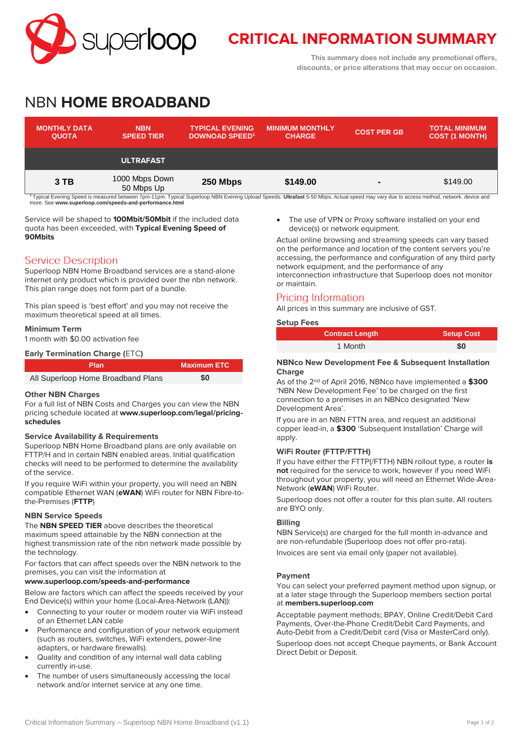

# **CRITICAL INFORMATION SUMMARY**

**This summary does not include any promotional offers, discounts, or price alterations that may occur on occasion.**

# NBN **HOME BROADBAND**

| <b>MONTHLY DATA</b><br><b>QUOTA</b>                                                                                                                                                                | <b>NBN</b><br><b>SPEED TIER</b> | <b>TYPICAL EVENING</b><br><b>DOWNOAD SPEED<sup>1</sup></b> | <b>MINIMUM MONTHLY</b><br><b>CHARGE</b> | <b>COST PER GB</b> | <b>TOTAL MINIMUM</b><br><b>COST (1 MONTH)</b> |
|----------------------------------------------------------------------------------------------------------------------------------------------------------------------------------------------------|---------------------------------|------------------------------------------------------------|-----------------------------------------|--------------------|-----------------------------------------------|
|                                                                                                                                                                                                    | <b>ULTRAFAST</b>                |                                                            |                                         |                    |                                               |
| $3$ TB                                                                                                                                                                                             | 1000 Mbps Down<br>50 Mbps Up    | 250 Mbps                                                   | \$149.00                                | $\blacksquare$     | \$149.00                                      |
| <sup>1</sup> Typical Evening Speed is measured between 7pm-11pm. Typical Superloop NBN Evening Upload Speeds: Ultrafast 5-50 Mbps. Actual speed may vary due to access method, network, device and |                                 |                                                            |                                         |                    |                                               |

more. See **[www.superloop.com/speeds-and-performance.h](https://www.superloop.com/speeds-and-performance.html)tml**

Service will be shaped to **100Mbit/50Mbit** if the included data quota has been exceeded, with **Typical Evening Speed of 90Mbits**

## **Service Description**

Superloop NBN Home Broadband services are a stand-alone internet only product which is provided over the nbn network. This plan range does not form part of a bundle.

This plan speed is 'best effort' and you may not receive the maximum theoretical speed at all times.

#### **Minimum Term**

1 month with \$0.00 activation fee

| <b>Early Termination Charge (ETC)</b> |                                    |                    |  |  |
|---------------------------------------|------------------------------------|--------------------|--|--|
|                                       | <b>Plan</b>                        | <b>Maximum ETC</b> |  |  |
|                                       | All Superloop Home Broadband Plans | \$0                |  |  |

#### **Other NBN Charges**

For a full list of NBN Costs and Charges you can view the NBN pricing schedule located at **[www.superloop.com/legal/pricing](https://www.superloop.com/legal/pricing-schedules.html)[schedules](https://www.superloop.com/legal/pricing-schedules.html)**

#### **Service Availability & Requirements**

Superloop NBN Home Broadband plans are only available on FTTP/H and in certain NBN enabled areas. Initial qualification checks will need to be performed to determine the availability of the service.

If you require WiFi within your property, you will need an NBN compatible Ethernet WAN (**eWAN**) WiFi router for NBN Fibre-tothe-Premises (**FTTP**)

#### **NBN Service Speeds**

The **NBN SPEED TIER** above describes the theoretical maximum speed attainable by the NBN connection at the highest transmission rate of the nbn network made possible by the technology.

For factors that can affect speeds over the NBN network to the premises, you can visit the information at

## **[www.superloop.com/speeds-and-performance](https://www.superloop.com/speeds-and-performance.html)**

Below are factors which can affect the speeds received by your End Device(s) within your home (Local-Area-Network (LAN)):

- Connecting to your router or modem router via WiFi instead of an Ethernet LAN cable
- Performance and configuration of your network equipment (such as routers, switches, WiFi extenders, power-line adapters, or hardware firewalls).
- Quality and condition of any internal wall data cabling currently in-use.
- The number of users simultaneously accessing the local network and/or internet service at any one time.

 The use of VPN or Proxy software installed on your end device(s) or network equipment.

Actual online browsing and streaming speeds can vary based on the performance and location of the content servers you're accessing, the performance and configuration of any third party network equipment, and the performance of any interconnection infrastructure that Superloop does not monitor or maintain.

# Pricing Information

All prices in this summary are inclusive of GST.

#### **Setup Fees**

| <b>Contract Length</b> | <b>Setup Cost</b> |
|------------------------|-------------------|
| 1 Month                | \$0               |

#### **NBNco New Development Fee & Subsequent Installation Charge**

As of the 2nd of April 2016, NBNco have implemented a **\$300** 'NBN New Development Fee' to be charged on the first connection to a premises in an NBNco designated 'New Development Area'.

If you are in an NBN FTTN area, and request an additional copper lead-in, a **\$300** 'Subsequent Installation' Charge will apply.

#### **WiFi Router (FTTP/FTTH)**

If you have either the FTTP(/FTTH) NBN rollout type, a router **is not** required for the service to work, however if you need WiFi throughout your property, you will need an Ethernet Wide-Area-Network (**eWAN**) WiFi Router.

Superloop does not offer a router for this plan suite. All routers are BYO only.

#### **Billing**

NBN Service(s) are charged for the full month in-advance and are non-refundable (Superloop does not offer pro-rata). Invoices are sent via email only (paper not available).

#### **Payment**

You can select your preferred payment method upon signup, or at a later stage through the Superloop members section portal at **[members.superloop.com](https://members.superloop.com/login)**

Acceptable payment methods; BPAY, Online Credit/Debit Card Payments, Over-the-Phone Credit/Debit Card Payments, and Auto-Debit from a Credit/Debit card (Visa or MasterCard only).

Superloop does not accept Cheque payments, or Bank Account Direct Debit or Deposit.